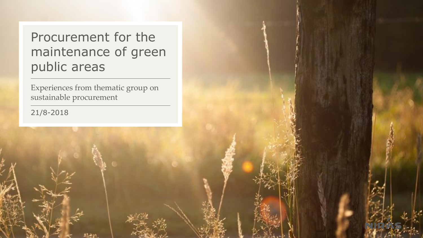## Procurement for the maintenance of green public areas

Experiences from thematic group on sustainable procurement

21/8-2018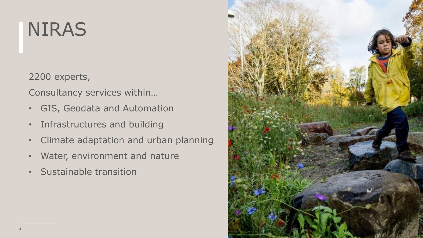# NIRAS

2200 experts,

Consultancy services within…

- GIS, Geodata and Automation
- Infrastructures and building
- Climate adaptation and urban planning
- Water, environment and nature
- Sustainable transition

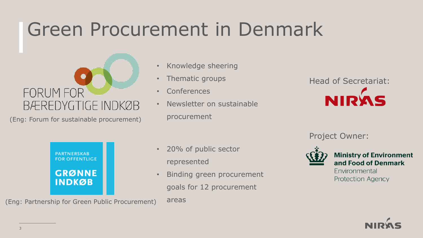## Green Procurement in Denmark



(Eng: Forum for sustainable procurement)

- Knowledge sheering
- Thematic groups
- Conferences
- Newsletter on sustainable procurement



Project Owner:



**Ministry of Environment** and Food of Denmark

Environmental **Protection Agency** 



(Eng: Partnership for Green Public Procurement)

- 20% of public sector represented
- Binding green procurement goals for 12 procurement

areas

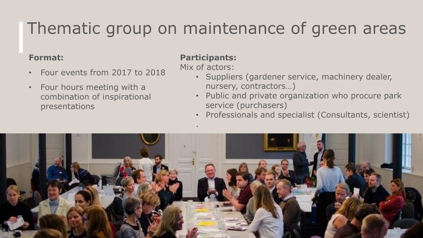## Thematic group on maintenance of green areas

### **Format:**

- Four events from 2017 to 2018
- Four hours meeting with a combination of inspirational presentations

### **Participants:**

Mix of actors:

.

- Suppliers (gardener service, machinery dealer, nursery, contractors…)
- Public and private organization who procure park service (purchasers)
- Professionals and specialist (Consultants, scientist)

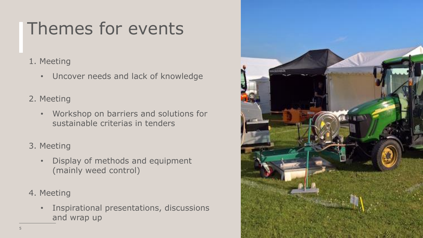## Themes for events

- 1. Meeting
	- Uncover needs and lack of knowledge
- 2. Meeting
	- Workshop on barriers and solutions for sustainable criterias in tenders
- 3. Meeting
	- Display of methods and equipment (mainly weed control)
- 4. Meeting
	- Inspirational presentations, discussions and wrap up

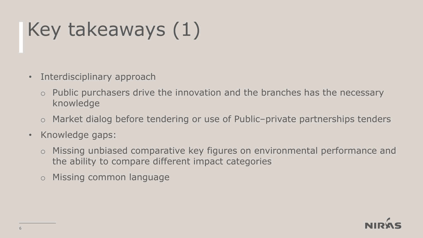# Key takeaways (1)

- Interdisciplinary approach
	- o Public purchasers drive the innovation and the branches has the necessary knowledge
	- o Market dialog before tendering or use of Public–private partnerships tenders
- Knowledge gaps:
	- o Missing unbiased comparative key figures on environmental performance and the ability to compare different impact categories
	- o Missing common language

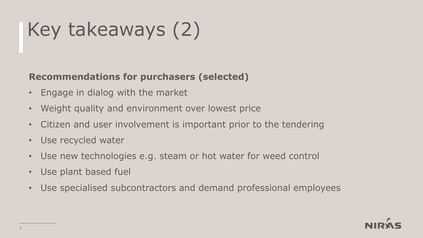# Key takeaways (2)

## **Recommendations for purchasers (selected)**

- Engage in dialog with the market
- Weight quality and environment over lowest price
- Citizen and user involvement is important prior to the tendering
- Use recycled water
- Use new technologies e.g. steam or hot water for weed control
- Use plant based fuel
- Use specialised subcontractors and demand professional employees

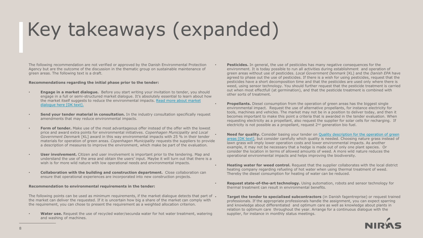# Key takeaways (expanded)

The following recommendation are not verified or approved by the Danish Environmental Protection Agency but are the outcome of the discussion in the thematic group on sustainable maintenance of green areas. The following text is a draft.

#### **Recommendations regarding the initial phase prior to the tender:**

- **Engage in a market dialogue.** Before you start writing your invitation to tender, you should engage in a full or semi-structured market dialogue. It's absolutely essential to learn about how [the market itself suggests to reduce the environmental impacts. Read more about](https://www.kfst.dk/media/49852/dialog-foer-og-under-udbudsprocessen_februar.pdf) market dialogue here [DK text].
- **Send your tender material in consultation.** In the industry consultation specifically request amendments that may reduce environmental impacts.
- **Form of tender.** Make use of the most advantageous offer instead of the offer with the lowest price and award extra points for environmental initiatives. *Copenhagen Municipality* and *Local Government Denmark* [KL] award in this way environmental impacts with 25 % in their tender materials for operation of green areas. *Copenhagen Municipality* requests the suppliers to provide a description of measures to improve the environment, which make be part of the evaluation.
- **User involvement.** Citizen and user involvement is important prior to the tendering. Map and understand the use of the area and obtain the users' input. Maybe it will turn out that there is a wish is for more wild nature with low operational needs and environmental impacts.
- **Collaboration with the building and construction department.** Close collaboration can ensure that operational experiences are incorporated into new construction projects.

#### **Recommendation to environmental requirements in the tender:**

The following points can be used as minimum requirements, if the market dialogue detects that part of . the market can deliver the requested. If it is uncertain how big a share of the market can comply with the requirement, you can chose to present the requirement as a weighted allocation criterion.

• **Water use.** Request the use of recycled water/secunda water for hot water treatment, watering and washing of machines.

- **Pesticides.** In general, the use of pesticides has many negative consequences for the environment. It is today possible to run all activities during establishment and operation of green areas without use of pesticides. *Local Government Denmark* [KL] and the *Danish EPA* have agreed to phase out the use of pesticides. If there is a wish for using pesticides, request that the pesticides have a short decomposition time and that the pesticides are used only where there is weed, using sensor technology. You should further request that the pesticide treatment is carried out when most effectfull (at germination), and that the pesticide treatment is combined with other sorts of treatment.
- **Propellants.** Diesel consumption from the operation of green areas has the biggest single environmental impact. Request the use of alternative propellants, for instance electricity for tools, machines and vehicles. The market may not be in a position to deliver today, and then it becomes important to make this point a criteria that is awarded in the tender evaluation. When requesting electricity as a propellant, also request the supplier for solar cells for recharging. If electricity is not possible as a propellant, request  $2<sup>nd</sup>$  generation bio fuel.

**Need for quality.** Consider basing your tender on Quality description for the operation of green [areas \[DK text\], but consider carefully which quality is needed. Choosing nature grass instead of](https://forskning.ku.dk/find-en-forsker/?pure=files/153756296/Kvalitetsbeskrivelser_rapport_net.pdf) lawn grass will imply lower operation costs and lower environmental impacts. As another example, it may not be necessary that a hedge is made out of only one plant species. Or consider the location in terms of allowed amounts of weed. A more wild nature reduces the operational environmental impacts and helps improving the biodiversity.

- **Heating water for weed control.** Request that the supplier collaborates with the local district heating company regarding refueling of hot water when using thermal treatment of weed. Thereby the diesel consumption for heating of water can be reduced.
- **Request state-of-the-art technology.** Using automation, robots and sensor technology for thermal treatment can result in environmental benefits.

• **Target the tender to specialised subcontractors** (in Danish fagentreprise) or request trained professionals. If the appropriate professionals handle the assignment, you can expect sparring and knowledge about differentiated and optimum care as well as knowledge about plants in relation to optimum care throughout the year. Arrange for a continuous dialogue with the supplier, for instance in monthly status meetings.